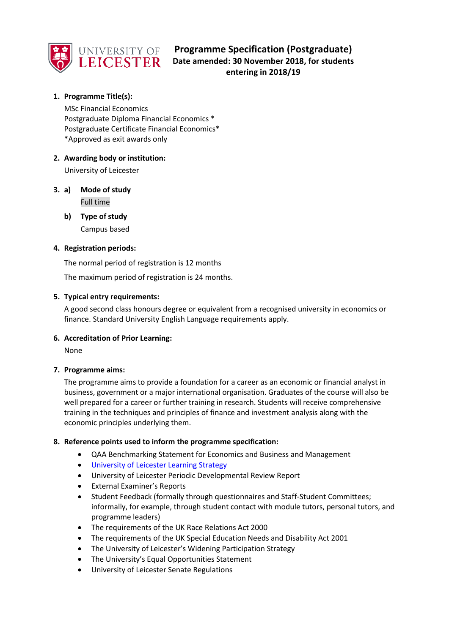

# **Programme Specification (Postgraduate) LEICESTER** Date amended: 30 November 2018, for students **entering in 2018/19**

## **1. Programme Title(s):**

MSc Financial Economics Postgraduate Diploma Financial Economics \* Postgraduate Certificate Financial Economics\* \*Approved as exit awards only

## **2. Awarding body or institution:**

University of Leicester

## **3. a) Mode of study** Full time

**b) Type of study** Campus based

## **4. Registration periods:**

The normal period of registration is 12 months

The maximum period of registration is 24 months.

## **5. Typical entry requirements:**

A good second class honours degree or equivalent from a recognised university in economics or finance. Standard University English Language requirements apply.

## **6. Accreditation of Prior Learning:**

None

## **7. Programme aims:**

The programme aims to provide a foundation for a career as an economic or financial analyst in business, government or a major international organisation. Graduates of the course will also be well prepared for a career or further training in research. Students will receive comprehensive training in the techniques and principles of finance and investment analysis along with the economic principles underlying them.

## **8. Reference points used to inform the programme specification:**

- QAA Benchmarking Statement for Economics and Business and Management
- **.** [University of Leicester Learning Strategy](https://www2.le.ac.uk/offices/sas2/quality/documents/learning-strategy-2016-2020)
- University of Leicester Periodic Developmental Review Report
- External Examiner's Reports
- Student Feedback (formally through questionnaires and Staff-Student Committees; informally, for example, through student contact with module tutors, personal tutors, and programme leaders)
- The requirements of the UK Race Relations Act 2000
- The requirements of the UK Special Education Needs and Disability Act 2001
- The University of Leicester's Widening Participation Strategy
- The University's Equal Opportunities Statement
- University of Leicester Senate Regulations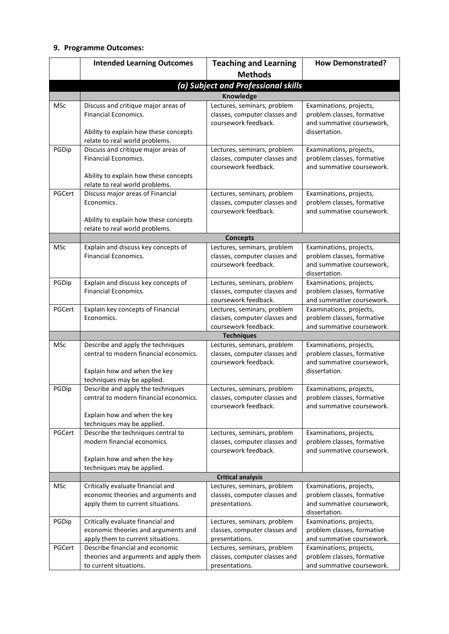## **9. Programme Outcomes:**

|            | <b>Intended Learning Outcomes</b>                                                                                                             | <b>Teaching and Learning</b>                                                         | <b>How Demonstrated?</b>                                                                            |  |  |
|------------|-----------------------------------------------------------------------------------------------------------------------------------------------|--------------------------------------------------------------------------------------|-----------------------------------------------------------------------------------------------------|--|--|
|            |                                                                                                                                               | <b>Methods</b>                                                                       |                                                                                                     |  |  |
|            | (a) Subject and Professional skills                                                                                                           |                                                                                      |                                                                                                     |  |  |
|            |                                                                                                                                               | <b>Knowledge</b>                                                                     |                                                                                                     |  |  |
| <b>MSc</b> | Discuss and critique major areas of<br><b>Financial Economics.</b><br>Ability to explain how these concepts<br>relate to real world problems. | Lectures, seminars, problem<br>classes, computer classes and<br>coursework feedback. | Examinations, projects,<br>problem classes, formative<br>and summative coursework,<br>dissertation. |  |  |
| PGDip      | Discuss and critique major areas of<br><b>Financial Economics.</b><br>Ability to explain how these concepts<br>relate to real world problems. | Lectures, seminars, problem<br>classes, computer classes and<br>coursework feedback. | Examinations, projects,<br>problem classes, formative<br>and summative coursework.                  |  |  |
| PGCert     | Discuss major areas of Financial<br>Economics.<br>Ability to explain how these concepts<br>relate to real world problems.                     | Lectures, seminars, problem<br>classes, computer classes and<br>coursework feedback. | Examinations, projects,<br>problem classes, formative<br>and summative coursework.                  |  |  |
|            |                                                                                                                                               | <b>Concepts</b>                                                                      |                                                                                                     |  |  |
| <b>MSc</b> | Explain and discuss key concepts of<br><b>Financial Economics.</b>                                                                            | Lectures, seminars, problem<br>classes, computer classes and<br>coursework feedback. | Examinations, projects,<br>problem classes, formative<br>and summative coursework,<br>dissertation. |  |  |
| PGDip      | Explain and discuss key concepts of<br><b>Financial Economics.</b>                                                                            | Lectures, seminars, problem<br>classes, computer classes and<br>coursework feedback. | Examinations, projects,<br>problem classes, formative<br>and summative coursework.                  |  |  |
| PGCert     | Explain key concepts of Financial<br>Economics.                                                                                               | Lectures, seminars, problem<br>classes, computer classes and<br>coursework feedback. | Examinations, projects,<br>problem classes, formative<br>and summative coursework.                  |  |  |
|            |                                                                                                                                               | <b>Techniques</b>                                                                    |                                                                                                     |  |  |
| MSc        | Describe and apply the techniques<br>central to modern financial economics.<br>Explain how and when the key<br>techniques may be applied.     | Lectures, seminars, problem<br>classes, computer classes and<br>coursework feedback. | Examinations, projects,<br>problem classes, formative<br>and summative coursework,<br>dissertation. |  |  |
| PGDip      | Describe and apply the techniques<br>central to modern financial economics.<br>Explain how and when the key<br>techniques may be applied.     | Lectures, seminars, problem<br>classes, computer classes and<br>coursework feedback. | Examinations, projects,<br>problem classes, formative<br>and summative coursework.                  |  |  |
| PGCert     | Describe the techniques central to<br>modern financial economics.<br>Explain how and when the key<br>techniques may be applied.               | Lectures, seminars, problem<br>classes, computer classes and<br>coursework feedback. | Examinations, projects,<br>problem classes, formative<br>and summative coursework.                  |  |  |
|            |                                                                                                                                               | <b>Critical analysis</b>                                                             |                                                                                                     |  |  |
| MSc        | Critically evaluate financial and<br>economic theories and arguments and<br>apply them to current situations.                                 | Lectures, seminars, problem<br>classes, computer classes and<br>presentations.       | Examinations, projects,<br>problem classes, formative<br>and summative coursework,<br>dissertation. |  |  |
| PGDip      | Critically evaluate financial and<br>economic theories and arguments and<br>apply them to current situations.                                 | Lectures, seminars, problem<br>classes, computer classes and<br>presentations.       | Examinations, projects,<br>problem classes, formative<br>and summative coursework.                  |  |  |
| PGCert     | Describe financial and economic<br>theories and arguments and apply them<br>to current situations.                                            | Lectures, seminars, problem<br>classes, computer classes and<br>presentations.       | Examinations, projects,<br>problem classes, formative<br>and summative coursework.                  |  |  |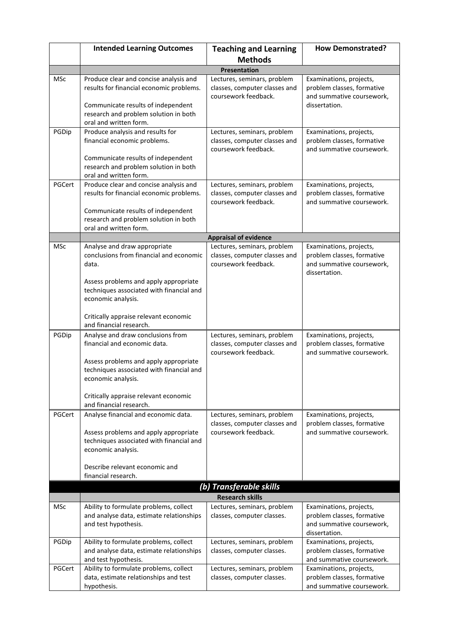|            | <b>Intended Learning Outcomes</b>                                                                                                                                                                        | <b>Teaching and Learning</b>                                                                                         | <b>How Demonstrated?</b>                                                                            |
|------------|----------------------------------------------------------------------------------------------------------------------------------------------------------------------------------------------------------|----------------------------------------------------------------------------------------------------------------------|-----------------------------------------------------------------------------------------------------|
|            |                                                                                                                                                                                                          | <b>Methods</b>                                                                                                       |                                                                                                     |
|            |                                                                                                                                                                                                          | Presentation                                                                                                         |                                                                                                     |
| <b>MSc</b> | Produce clear and concise analysis and<br>results for financial economic problems.<br>Communicate results of independent<br>research and problem solution in both<br>oral and written form.              | Lectures, seminars, problem<br>classes, computer classes and<br>coursework feedback.                                 | Examinations, projects,<br>problem classes, formative<br>and summative coursework,<br>dissertation. |
| PGDip      | Produce analysis and results for<br>financial economic problems.<br>Communicate results of independent<br>research and problem solution in both<br>oral and written form.                                | Lectures, seminars, problem<br>classes, computer classes and<br>coursework feedback.                                 | Examinations, projects,<br>problem classes, formative<br>and summative coursework.                  |
| PGCert     | Produce clear and concise analysis and<br>results for financial economic problems.<br>Communicate results of independent<br>research and problem solution in both<br>oral and written form.              | Lectures, seminars, problem<br>classes, computer classes and<br>coursework feedback.<br><b>Appraisal of evidence</b> | Examinations, projects,<br>problem classes, formative<br>and summative coursework.                  |
| MSc        | Analyse and draw appropriate                                                                                                                                                                             | Lectures, seminars, problem                                                                                          | Examinations, projects,                                                                             |
|            | conclusions from financial and economic<br>data.<br>Assess problems and apply appropriate                                                                                                                | classes, computer classes and<br>coursework feedback.                                                                | problem classes, formative<br>and summative coursework,<br>dissertation.                            |
|            | techniques associated with financial and<br>economic analysis.                                                                                                                                           |                                                                                                                      |                                                                                                     |
|            | Critically appraise relevant economic<br>and financial research.                                                                                                                                         |                                                                                                                      |                                                                                                     |
| PGDip      | Analyse and draw conclusions from<br>financial and economic data.<br>Assess problems and apply appropriate<br>techniques associated with financial and<br>economic analysis.                             | Lectures, seminars, problem<br>classes, computer classes and<br>coursework feedback.                                 | Examinations, projects,<br>problem classes, formative<br>and summative coursework.                  |
|            | Critically appraise relevant economic<br>and financial research.                                                                                                                                         |                                                                                                                      |                                                                                                     |
| PGCert     | Analyse financial and economic data.<br>Assess problems and apply appropriate<br>techniques associated with financial and<br>economic analysis.<br>Describe relevant economic and<br>financial research. | Lectures, seminars, problem<br>classes, computer classes and<br>coursework feedback.                                 | Examinations, projects,<br>problem classes, formative<br>and summative coursework.                  |
|            |                                                                                                                                                                                                          | (b) Transferable skills                                                                                              |                                                                                                     |
|            |                                                                                                                                                                                                          | <b>Research skills</b>                                                                                               |                                                                                                     |
| <b>MSc</b> | Ability to formulate problems, collect<br>and analyse data, estimate relationships<br>and test hypothesis.                                                                                               | Lectures, seminars, problem<br>classes, computer classes.                                                            | Examinations, projects,<br>problem classes, formative<br>and summative coursework,<br>dissertation. |
| PGDip      | Ability to formulate problems, collect<br>and analyse data, estimate relationships<br>and test hypothesis.                                                                                               | Lectures, seminars, problem<br>classes, computer classes.                                                            | Examinations, projects,<br>problem classes, formative<br>and summative coursework.                  |
| PGCert     | Ability to formulate problems, collect<br>data, estimate relationships and test<br>hypothesis.                                                                                                           | Lectures, seminars, problem<br>classes, computer classes.                                                            | Examinations, projects,<br>problem classes, formative<br>and summative coursework.                  |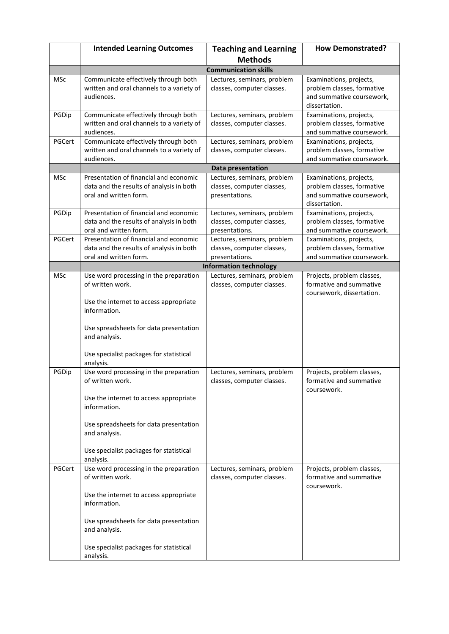|            | <b>Intended Learning Outcomes</b>                                                 | <b>Teaching and Learning</b>                              | <b>How Demonstrated?</b>                              |  |
|------------|-----------------------------------------------------------------------------------|-----------------------------------------------------------|-------------------------------------------------------|--|
|            |                                                                                   | <b>Methods</b>                                            |                                                       |  |
|            | <b>Communication skills</b>                                                       |                                                           |                                                       |  |
| <b>MSc</b> | Communicate effectively through both                                              | Lectures, seminars, problem                               | Examinations, projects,                               |  |
|            | written and oral channels to a variety of                                         | classes, computer classes.                                | problem classes, formative                            |  |
|            | audiences.                                                                        |                                                           | and summative coursework,                             |  |
|            |                                                                                   |                                                           | dissertation.                                         |  |
| PGDip      | Communicate effectively through both<br>written and oral channels to a variety of | Lectures, seminars, problem<br>classes, computer classes. | Examinations, projects,<br>problem classes, formative |  |
|            | audiences.                                                                        |                                                           | and summative coursework.                             |  |
| PGCert     | Communicate effectively through both                                              | Lectures, seminars, problem                               | Examinations, projects,                               |  |
|            | written and oral channels to a variety of                                         | classes, computer classes.                                | problem classes, formative                            |  |
|            | audiences.                                                                        |                                                           | and summative coursework.                             |  |
|            |                                                                                   | Data presentation                                         |                                                       |  |
| MSc        | Presentation of financial and economic                                            | Lectures, seminars, problem                               | Examinations, projects,                               |  |
|            | data and the results of analysis in both                                          | classes, computer classes,                                | problem classes, formative                            |  |
|            | oral and written form.                                                            | presentations.                                            | and summative coursework,<br>dissertation.            |  |
| PGDip      | Presentation of financial and economic                                            | Lectures, seminars, problem                               | Examinations, projects,                               |  |
|            | data and the results of analysis in both                                          | classes, computer classes,                                | problem classes, formative                            |  |
|            | oral and written form.                                                            | presentations.                                            | and summative coursework.                             |  |
| PGCert     | Presentation of financial and economic                                            | Lectures, seminars, problem                               | Examinations, projects,                               |  |
|            | data and the results of analysis in both                                          | classes, computer classes,                                | problem classes, formative                            |  |
|            | oral and written form.                                                            | presentations.                                            | and summative coursework.                             |  |
|            |                                                                                   | <b>Information technology</b>                             |                                                       |  |
| <b>MSc</b> | Use word processing in the preparation<br>of written work.                        | Lectures, seminars, problem<br>classes, computer classes. | Projects, problem classes,<br>formative and summative |  |
|            |                                                                                   |                                                           | coursework, dissertation.                             |  |
|            | Use the internet to access appropriate                                            |                                                           |                                                       |  |
|            | information.                                                                      |                                                           |                                                       |  |
|            |                                                                                   |                                                           |                                                       |  |
|            | Use spreadsheets for data presentation                                            |                                                           |                                                       |  |
|            | and analysis.                                                                     |                                                           |                                                       |  |
|            | Use specialist packages for statistical                                           |                                                           |                                                       |  |
|            | analysis.                                                                         |                                                           |                                                       |  |
| PGDip      | Use word processing in the preparation                                            | Lectures, seminars, problem                               | Projects, problem classes,                            |  |
|            | of written work.                                                                  | classes, computer classes.                                | formative and summative                               |  |
|            |                                                                                   |                                                           | coursework.                                           |  |
|            | Use the internet to access appropriate                                            |                                                           |                                                       |  |
|            | information.                                                                      |                                                           |                                                       |  |
|            | Use spreadsheets for data presentation                                            |                                                           |                                                       |  |
|            | and analysis.                                                                     |                                                           |                                                       |  |
|            |                                                                                   |                                                           |                                                       |  |
|            | Use specialist packages for statistical                                           |                                                           |                                                       |  |
|            | analysis.                                                                         |                                                           |                                                       |  |
| PGCert     | Use word processing in the preparation                                            | Lectures, seminars, problem                               | Projects, problem classes,                            |  |
|            | of written work.                                                                  | classes, computer classes.                                | formative and summative<br>coursework.                |  |
|            | Use the internet to access appropriate                                            |                                                           |                                                       |  |
|            | information.                                                                      |                                                           |                                                       |  |
|            |                                                                                   |                                                           |                                                       |  |
|            | Use spreadsheets for data presentation                                            |                                                           |                                                       |  |
|            | and analysis.                                                                     |                                                           |                                                       |  |
|            |                                                                                   |                                                           |                                                       |  |
|            | Use specialist packages for statistical<br>analysis.                              |                                                           |                                                       |  |
|            |                                                                                   |                                                           |                                                       |  |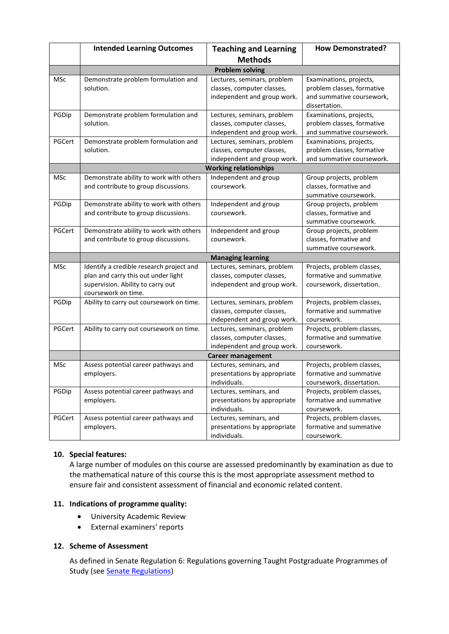|            | <b>Intended Learning Outcomes</b>                                                                                                           | <b>Teaching and Learning</b>                                                             | <b>How Demonstrated?</b>                                                                            |  |  |
|------------|---------------------------------------------------------------------------------------------------------------------------------------------|------------------------------------------------------------------------------------------|-----------------------------------------------------------------------------------------------------|--|--|
|            |                                                                                                                                             | <b>Methods</b>                                                                           |                                                                                                     |  |  |
|            | <b>Problem solving</b>                                                                                                                      |                                                                                          |                                                                                                     |  |  |
| <b>MSc</b> | Demonstrate problem formulation and<br>solution.                                                                                            | Lectures, seminars, problem<br>classes, computer classes,<br>independent and group work. | Examinations, projects,<br>problem classes, formative<br>and summative coursework,<br>dissertation. |  |  |
| PGDip      | Demonstrate problem formulation and<br>solution.                                                                                            | Lectures, seminars, problem<br>classes, computer classes,<br>independent and group work. | Examinations, projects,<br>problem classes, formative<br>and summative coursework.                  |  |  |
| PGCert     | Demonstrate problem formulation and<br>solution.                                                                                            | Lectures, seminars, problem<br>classes, computer classes,<br>independent and group work. | Examinations, projects,<br>problem classes, formative<br>and summative coursework.                  |  |  |
|            | <b>Working relationships</b>                                                                                                                |                                                                                          |                                                                                                     |  |  |
| <b>MSc</b> | Demonstrate ability to work with others<br>and contribute to group discussions.                                                             | Independent and group<br>coursework.                                                     | Group projects, problem<br>classes, formative and<br>summative coursework.                          |  |  |
| PGDip      | Demonstrate ability to work with others<br>and contribute to group discussions.                                                             | Independent and group<br>coursework.                                                     | Group projects, problem<br>classes, formative and<br>summative coursework.                          |  |  |
| PGCert     | Demonstrate ability to work with others<br>and contribute to group discussions.                                                             | Independent and group<br>coursework.                                                     | Group projects, problem<br>classes, formative and<br>summative coursework.                          |  |  |
|            |                                                                                                                                             | <b>Managing learning</b>                                                                 |                                                                                                     |  |  |
| <b>MSc</b> | Identify a credible research project and<br>plan and carry this out under light<br>supervision. Ability to carry out<br>coursework on time. | Lectures, seminars, problem<br>classes, computer classes,<br>independent and group work. | Projects, problem classes,<br>formative and summative<br>coursework, dissertation.                  |  |  |
| PGDip      | Ability to carry out coursework on time.                                                                                                    | Lectures, seminars, problem<br>classes, computer classes,<br>independent and group work. | Projects, problem classes,<br>formative and summative<br>coursework.                                |  |  |
| PGCert     | Ability to carry out coursework on time.                                                                                                    | Lectures, seminars, problem<br>classes, computer classes,<br>independent and group work. | Projects, problem classes,<br>formative and summative<br>coursework.                                |  |  |
|            | <b>Career management</b>                                                                                                                    |                                                                                          |                                                                                                     |  |  |
| <b>MSc</b> | Assess potential career pathways and<br>employers.                                                                                          | Lectures, seminars, and<br>presentations by appropriate<br>individuals.                  | Projects, problem classes,<br>formative and summative<br>coursework, dissertation.                  |  |  |
| PGDip      | Assess potential career pathways and<br>employers.                                                                                          | Lectures, seminars, and<br>presentations by appropriate<br>individuals.                  | Projects, problem classes,<br>formative and summative<br>coursework.                                |  |  |
| PGCert     | Assess potential career pathways and<br>employers.                                                                                          | Lectures, seminars, and<br>presentations by appropriate<br>individuals.                  | Projects, problem classes,<br>formative and summative<br>coursework.                                |  |  |

## **10. Special features:**

A large number of modules on this course are assessed predominantly by examination as due to the mathematical nature of this course this is the most appropriate assessment method to ensure fair and consistent assessment of financial and economic related content.

## **11. Indications of programme quality:**

- University Academic Review
- External examiners' reports

## **12. Scheme of Assessment**

As defined in Senate Regulation 6: Regulations governing Taught Postgraduate Programmes of Study (see [Senate Regulations\)](http://www2.le.ac.uk/offices/sas2/regulations/general-regulations-for-taught-programmes)